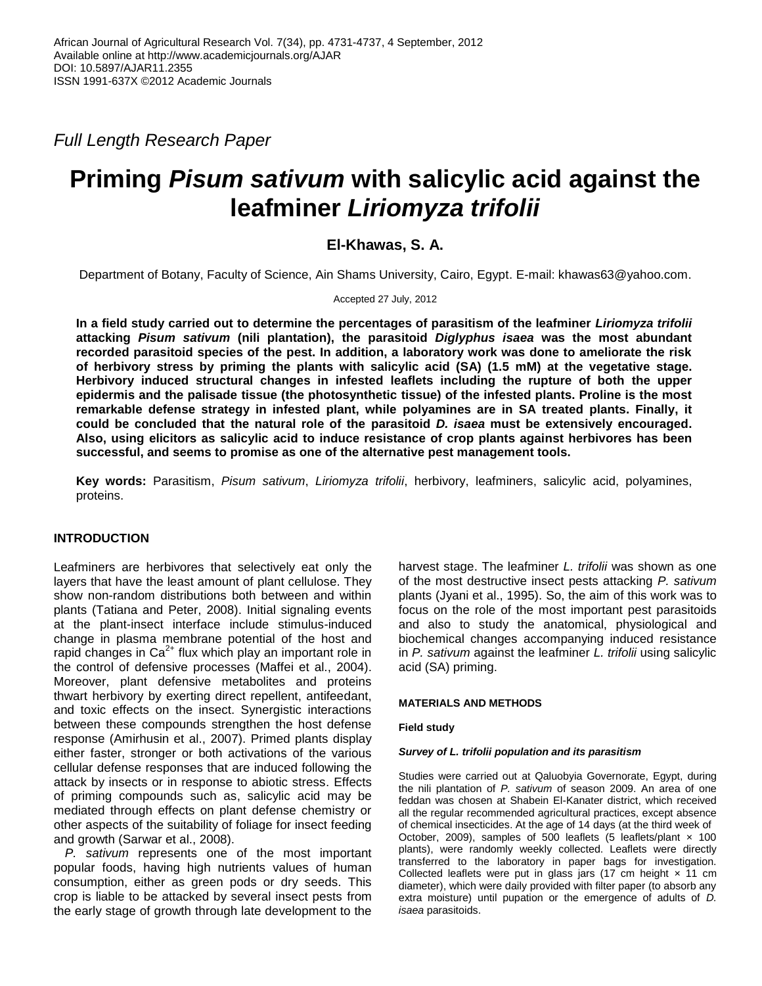*Full Length Research Paper*

# **Priming** *Pisum sativum* **with salicylic acid against the leafminer** *Liriomyza trifolii*

## **El-Khawas, S. A.**

Department of Botany, Faculty of Science, Ain Shams University, Cairo, Egypt. E-mail: khawas63@yahoo.com.

Accepted 27 July, 2012

**In a field study carried out to determine the percentages of parasitism of the leafminer** *Liriomyza trifolii* **attacking** *Pisum sativum* **(nili plantation), the parasitoid** *Diglyphus isaea* **was the most abundant recorded parasitoid species of the pest. In addition, a laboratory work was done to ameliorate the risk of herbivory stress by priming the plants with salicylic acid (SA) (1.5 mM) at the vegetative stage. Herbivory induced structural changes in infested leaflets including the rupture of both the upper epidermis and the palisade tissue (the photosynthetic tissue) of the infested plants. Proline is the most remarkable defense strategy in infested plant, while polyamines are in SA treated plants. Finally, it could be concluded that the natural role of the parasitoid** *D. isaea* **must be extensively encouraged. Also, using elicitors as salicylic acid to induce resistance of crop plants against herbivores has been successful, and seems to promise as one of the alternative pest management tools.**

**Key words:** Parasitism, *Pisum sativum*, *Liriomyza trifolii*, herbivory, leafminers, salicylic acid, polyamines, proteins.

## **INTRODUCTION**

Leafminers are herbivores that selectively eat only the layers that have the least amount of plant cellulose. They show non-random distributions both between and within plants (Tatiana and Peter, 2008). Initial signaling events at the plant-insect interface include stimulus-induced change in plasma membrane potential of the host and rapid changes in  $Ca^{2+}$  flux which play an important role in the control of defensive processes (Maffei et al., 2004). Moreover, plant defensive metabolites and proteins thwart herbivory by exerting direct repellent, antifeedant, and toxic effects on the insect. Synergistic interactions between these compounds strengthen the host defense response (Amirhusin et al., 2007). Primed plants display either faster, stronger or both activations of the various cellular defense responses that are induced following the attack by insects or in response to abiotic stress. Effects of priming compounds such as, salicylic acid may be mediated through effects on plant defense chemistry or other aspects of the suitability of foliage for insect feeding and growth (Sarwar et al., 2008).

*P. sativum* represents one of the most important popular foods, having high nutrients values of human consumption, either as green pods or dry seeds. This crop is liable to be attacked by several insect pests from the early stage of growth through late development to the

harvest stage. The leafminer *L. trifolii* was shown as one of the most destructive insect pests attacking *P. sativum* plants (Jyani et al., 1995). So, the aim of this work was to focus on the role of the most important pest parasitoids and also to study the anatomical, physiological and biochemical changes accompanying induced resistance in *P. sativum* against the leafminer *L. trifolii* using salicylic acid (SA) priming.

#### **MATERIALS AND METHODS**

#### **Field study**

#### *Survey of L. trifolii population and its parasitism*

Studies were carried out at Qaluobyia Governorate, Egypt, during the nili plantation of *P. sativum* of season 2009. An area of one feddan was chosen at Shabein El-Kanater district, which received all the regular recommended agricultural practices, except absence of chemical insecticides. At the age of 14 days (at the third week of October, 2009), samples of 500 leaflets (5 leaflets/plant  $\times$  100 plants), were randomly weekly collected. Leaflets were directly transferred to the laboratory in paper bags for investigation. Collected leaflets were put in glass jars (17 cm height  $\times$  11 cm diameter), which were daily provided with filter paper (to absorb any extra moisture) until pupation or the emergence of adults of *D. isaea* parasitoids.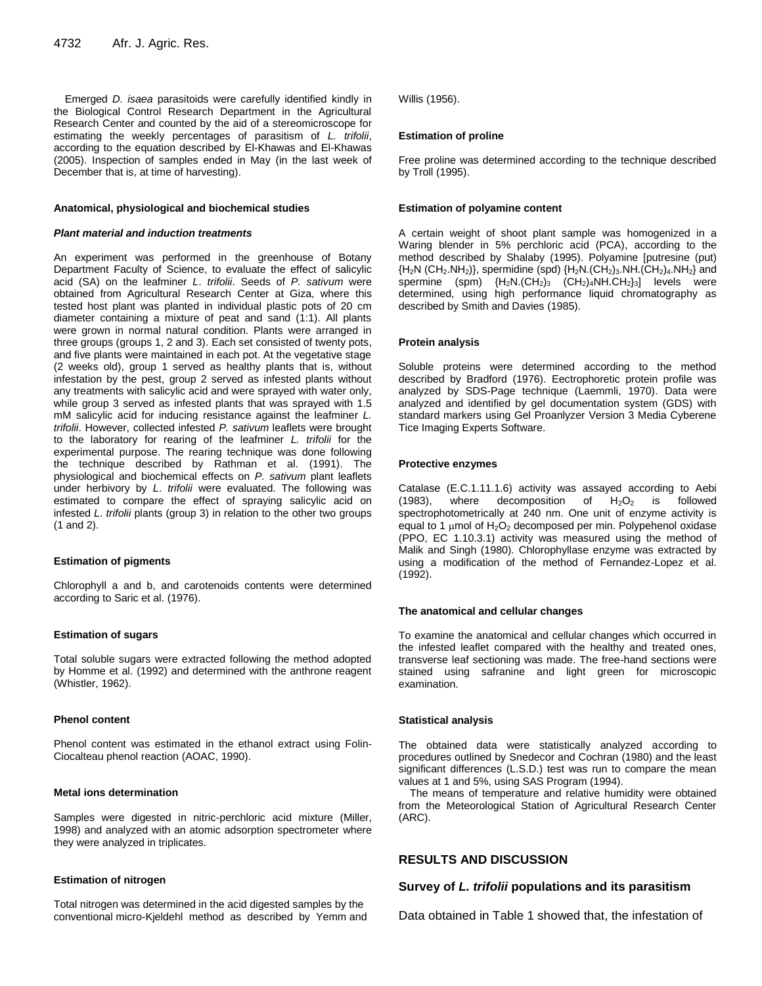Emerged *D. isaea* parasitoids were carefully identified kindly in the Biological Control Research Department in the Agricultural Research Center and counted by the aid of a stereomicroscope for estimating the weekly percentages of parasitism of *L. trifolii*, according to the equation described by El-Khawas and El-Khawas (2005). Inspection of samples ended in May (in the last week of December that is, at time of harvesting).

#### **Anatomical, physiological and biochemical studies**

#### *Plant material and induction treatments*

An experiment was performed in the greenhouse of Botany Department Faculty of Science, to evaluate the effect of salicylic acid (SA) on the leafminer *L*. *trifolii*. Seeds of *P. sativum* were obtained from Agricultural Research Center at Giza, where this tested host plant was planted in individual plastic pots of 20 cm diameter containing a mixture of peat and sand (1:1). All plants were grown in normal natural condition. Plants were arranged in three groups (groups 1, 2 and 3). Each set consisted of twenty pots, and five plants were maintained in each pot. At the vegetative stage (2 weeks old), group 1 served as healthy plants that is, without infestation by the pest, group 2 served as infested plants without any treatments with salicylic acid and were sprayed with water only, while group 3 served as infested plants that was sprayed with 1.5 mM salicylic acid for inducing resistance against the leafminer *L. trifolii*. However, collected infested *P. sativum* leaflets were brought to the laboratory for rearing of the leafminer *L. trifolii* for the experimental purpose. The rearing technique was done following the technique described by Rathman et al. (1991). The physiological and biochemical effects on *P. sativum* plant leaflets under herbivory by *L*. *trifolii* were evaluated. The following was estimated to compare the effect of spraying salicylic acid on infested *L*. *trifolii* plants (group 3) in relation to the other two groups (1 and 2).

#### **Estimation of pigments**

Chlorophyll a and b, and carotenoids contents were determined according to Saric et al. (1976).

#### **Estimation of sugars**

Total soluble sugars were extracted following the method adopted by Homme et al. (1992) and determined with the anthrone reagent (Whistler, 1962).

#### **Phenol content**

Phenol content was estimated in the ethanol extract using Folin-Ciocalteau phenol reaction (AOAC, 1990).

#### **Metal ions determination**

Samples were digested in nitric-perchloric acid mixture (Miller, 1998) and analyzed with an atomic adsorption spectrometer where they were analyzed in triplicates.

#### **Estimation of nitrogen**

Total nitrogen was determined in the acid digested samples by the conventional micro-Kjeldehl method as described by Yemm and Willis (1956).

#### **Estimation of proline**

Free proline was determined according to the technique described by Troll (1995).

#### **Estimation of polyamine content**

A certain weight of shoot plant sample was homogenized in a Waring blender in 5% perchloric acid (PCA), according to the method described by Shalaby (1995). Polyamine [putresine (put)  ${H_2N}$  (CH<sub>2</sub>.NH<sub>2</sub>)}, spermidine (spd)  ${H_2N}$ .(CH<sub>2</sub>)<sub>3</sub>.NH.(CH<sub>2</sub>)<sub>4</sub>.NH<sub>2</sub>} and spermine (spm)  ${H_2N.(CH_2)_3}$   $(CH_2)_4NH.CH_2)_3$  levels were determined, using high performance liquid chromatography as described by Smith and Davies (1985).

#### **Protein analysis**

Soluble proteins were determined according to the method described by Bradford (1976). Eectrophoretic protein profile was analyzed by SDS-Page technique (Laemmli, 1970). Data were analyzed and identified by gel documentation system (GDS) with standard markers using Gel Proanlyzer Version 3 Media Cyberene Tice Imaging Experts Software.

#### **Protective enzymes**

Catalase (E.C.1.11.1.6) activity was assayed according to Aebi (1983), where decomposition of  $H_2O_2$  is followed spectrophotometrically at 240 nm. One unit of enzyme activity is equal to 1  $\mu$ mol of H<sub>2</sub>O<sub>2</sub> decomposed per min. Polypehenol oxidase (PPO, EC 1.10.3.1) activity was measured using the method of Malik and Singh (1980). Chlorophyllase enzyme was extracted by using a modification of the method of Fernandez-Lopez et al. (1992).

#### **The anatomical and cellular changes**

To examine the anatomical and cellular changes which occurred in the infested leaflet compared with the healthy and treated ones, transverse leaf sectioning was made. The free-hand sections were stained using safranine and light green for microscopic examination.

#### **Statistical analysis**

The obtained data were statistically analyzed according to procedures outlined by Snedecor and Cochran (1980) and the least significant differences (L.S.D.) test was run to compare the mean values at 1 and 5%, using SAS Program (1994).

The means of temperature and relative humidity were obtained from the Meteorological Station of Agricultural Research Center (ARC).

## **RESULTS AND DISCUSSION**

## **Survey of** *L. trifolii* **populations and its parasitism**

Data obtained in Table 1 showed that, the infestation of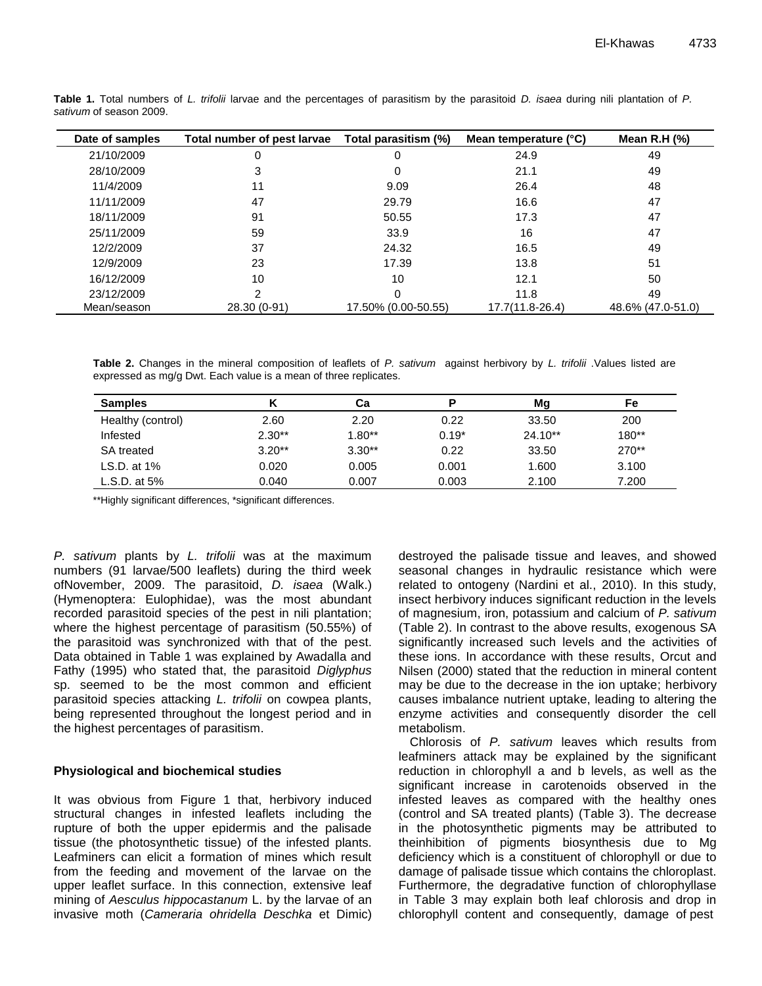| Date of samples | Total number of pest larvae | Total parasitism (%) | Mean temperature (°C) | Mean R.H $(%)$    |
|-----------------|-----------------------------|----------------------|-----------------------|-------------------|
| 21/10/2009      | 0                           | 0                    | 24.9                  | 49                |
| 28/10/2009      | 3                           |                      | 21.1                  | 49                |
| 11/4/2009       | 11                          | 9.09                 | 26.4                  | 48                |
| 11/11/2009      | 47                          | 29.79                | 16.6                  | 47                |
| 18/11/2009      | 91                          | 50.55                | 17.3                  | 47                |
| 25/11/2009      | 59                          | 33.9                 | 16                    | 47                |
| 12/2/2009       | 37                          | 24.32                | 16.5                  | 49                |
| 12/9/2009       | 23                          | 17.39                | 13.8                  | 51                |
| 16/12/2009      | 10                          | 10                   | 12.1                  | 50                |
| 23/12/2009      | າ                           |                      | 11.8                  | 49                |
| Mean/season     | 28.30 (0-91)                | 17.50% (0.00-50.55)  | 17.7(11.8-26.4)       | 48.6% (47.0-51.0) |

**Table 1.** Total numbers of *L. trifolii* larvae and the percentages of parasitism by the parasitoid *D. isaea* during nili plantation of *P. sativum* of season 2009.

**Table 2.** Changes in the mineral composition of leaflets of *P. sativum* against herbivory by *L. trifolii* .Values listed are expressed as mg/g Dwt. Each value is a mean of three replicates.

| <b>Samples</b>    |          | Сa       | P       | Mg        | Fe      |
|-------------------|----------|----------|---------|-----------|---------|
| Healthy (control) | 2.60     | 2.20     | 0.22    | 33.50     | 200     |
| Infested          | $2.30**$ | $1.80**$ | $0.19*$ | $24.10**$ | $180**$ |
| <b>SA</b> treated | $3.20**$ | $3.30**$ | 0.22    | 33.50     | $270**$ |
| LS.D. at $1\%$    | 0.020    | 0.005    | 0.001   | 1.600     | 3.100   |
| L.S.D. at $5\%$   | 0.040    | 0.007    | 0.003   | 2.100     | 7.200   |

\*\*Highly significant differences, \*significant differences.

*P. sativum* plants by *L. trifolii* was at the maximum numbers (91 larvae/500 leaflets) during the third week ofNovember, 2009. The parasitoid, *D. isaea* (Walk.) (Hymenoptera: Eulophidae), was the most abundant recorded parasitoid species of the pest in nili plantation; where the highest percentage of parasitism (50.55%) of the parasitoid was synchronized with that of the pest. Data obtained in Table 1 was explained by Awadalla and Fathy (1995) who stated that, the parasitoid *Diglyphus* sp. seemed to be the most common and efficient parasitoid species attacking *L. trifolii* on cowpea plants, being represented throughout the longest period and in the highest percentages of parasitism.

## **Physiological and biochemical studies**

It was obvious from Figure 1 that, herbivory induced structural changes in infested leaflets including the rupture of both the upper epidermis and the palisade tissue (the photosynthetic tissue) of the infested plants. Leafminers can elicit a formation of mines which result from the feeding and movement of the larvae on the upper leaflet surface. In this connection, extensive leaf mining of *Aesculus hippocastanum* L. by the larvae of an invasive moth (*Cameraria ohridella Deschka* et Dimic) destroyed the palisade tissue and leaves, and showed seasonal changes in hydraulic resistance which were related to ontogeny (Nardini et al., 2010). In this study, insect herbivory induces significant reduction in the levels of magnesium, iron, potassium and calcium of *P. sativum* (Table 2). In contrast to the above results, exogenous SA significantly increased such levels and the activities of these ions. In accordance with these results, Orcut and Nilsen (2000) stated that the reduction in mineral content may be due to the decrease in the ion uptake; herbivory causes imbalance nutrient uptake, leading to altering the enzyme activities and consequently disorder the cell metabolism.

Chlorosis of *P. sativum* leaves which results from leafminers attack may be explained by the significant reduction in chlorophyll a and b levels, as well as the significant increase in carotenoids observed in the infested leaves as compared with the healthy ones (control and SA treated plants) (Table 3). The decrease in the photosynthetic pigments may be attributed to theinhibition of pigments biosynthesis due to Mg deficiency which is a constituent of chlorophyll or due to damage of palisade tissue which contains the chloroplast. Furthermore, the degradative function of chlorophyllase in Table 3 may explain both leaf chlorosis and drop in chlorophyll content and consequently, damage of pest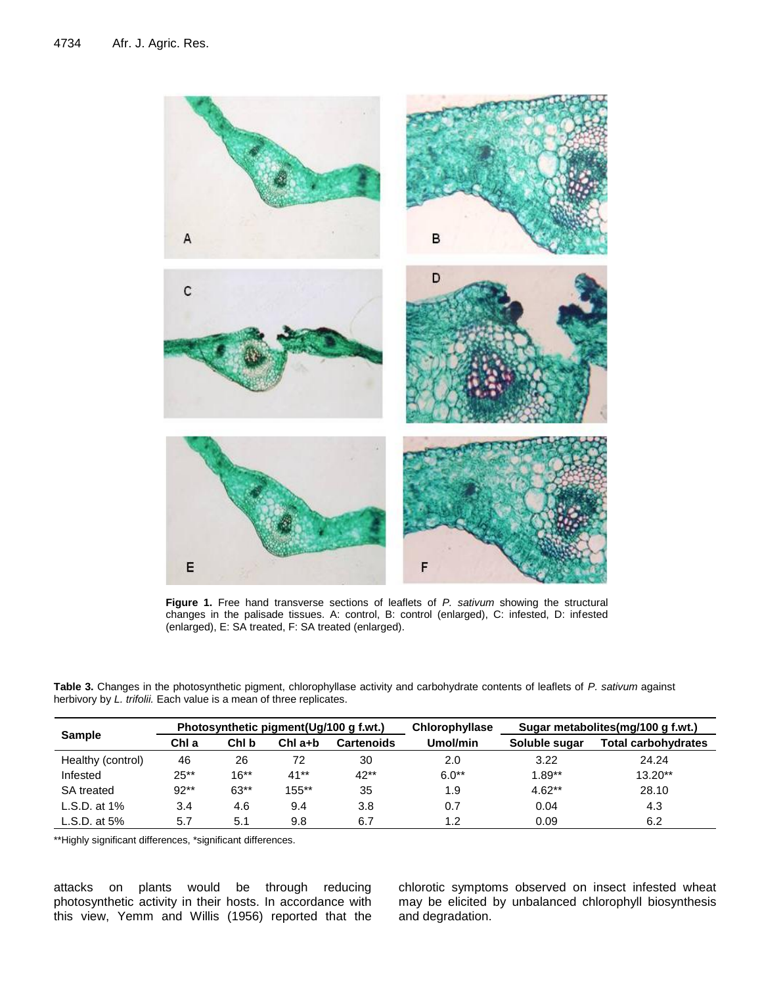

**Figure 1.** Free hand transverse sections of leaflets of *P. sativum* showing the structural changes in the palisade tissues. A: control, B: control (enlarged), C: infested, D: infested (enlarged), E: SA treated, F: SA treated (enlarged).

**Table 3.** Changes in the photosynthetic pigment, chlorophyllase activity and carbohydrate contents of leaflets of *P. sativum* against herbivory by *L. trifolii.* Each value is a mean of three replicates.

| <b>Sample</b>     |        |         | Photosynthetic pigment (Ug/100 g f.wt.) |                   | <b>Chlorophyllase</b> | Sugar metabolites(mg/100 g f.wt.) |                            |  |
|-------------------|--------|---------|-----------------------------------------|-------------------|-----------------------|-----------------------------------|----------------------------|--|
|                   | ChI a  | ChI b   | $Chl$ a+b                               | <b>Cartenoids</b> | Umol/min              | Soluble sugar                     | <b>Total carbohydrates</b> |  |
| Healthy (control) | 46     | 26      | 72                                      | 30                | 2.0                   | 3.22                              | 24.24                      |  |
| Infested          | $25**$ | $16***$ | $41**$                                  | $42**$            | $6.0**$               | $1.89**$                          | $13.20**$                  |  |
| <b>SA</b> treated | $92**$ | $63**$  | $155***$                                | 35                | 1.9                   | $4.62**$                          | 28.10                      |  |
| $L.S.D.$ at 1%    | 3.4    | 4.6     | 9.4                                     | 3.8               | 0.7                   | 0.04                              | 4.3                        |  |
| L.S.D. at $5\%$   | 5.7    | 5.1     | 9.8                                     | 6.7               | 1.2                   | 0.09                              | 6.2                        |  |

\*\*Highly significant differences, \*significant differences.

attacks on plants would be through reducing photosynthetic activity in their hosts. In accordance with this view, Yemm and Willis (1956) reported that the chlorotic symptoms observed on insect infested wheat may be elicited by unbalanced chlorophyll biosynthesis and degradation.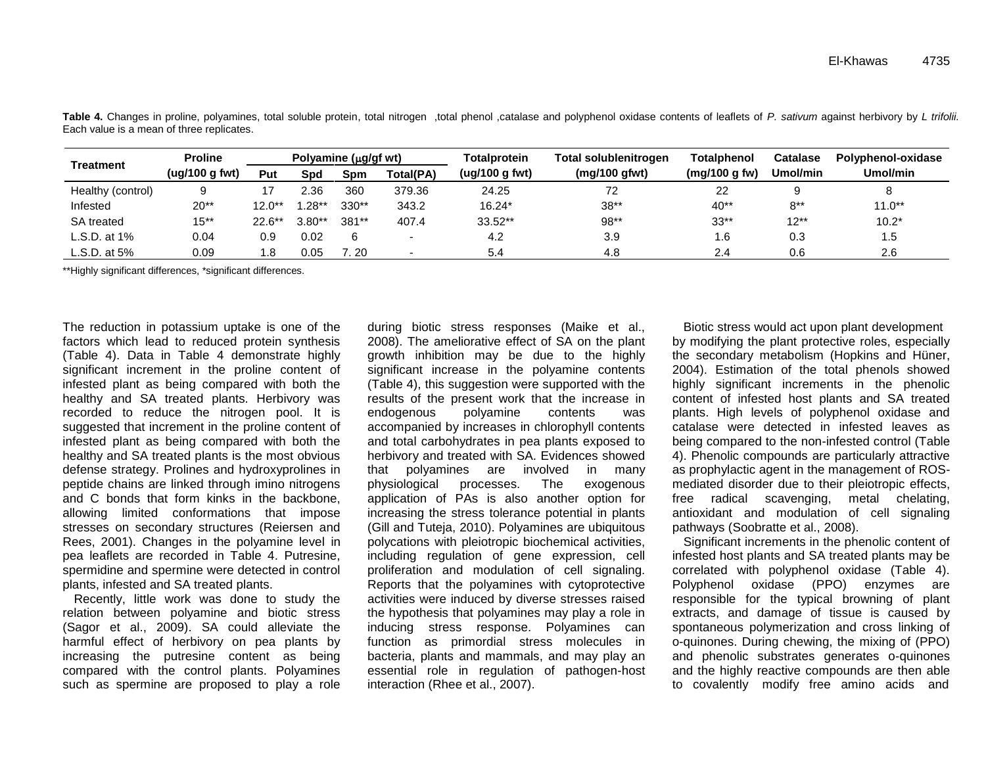| Treatment         | <b>Proline</b><br>Polyamine ( $\mu$ g/gf wt) |           |         |                  | Totalprotein |                | Total solublenitrogen | Totalphenol   | Catalase | Polyphenol-oxidase |  |
|-------------------|----------------------------------------------|-----------|---------|------------------|--------------|----------------|-----------------------|---------------|----------|--------------------|--|
|                   | (ug/100 g fwt)                               | Put       | Spd     | Spm              | Total(PA)    | (ug/100 g fwt) | (mg/100 gfwt)         | (mg/100 g fw) | Umol/min | Umol/min           |  |
| Healthy (control) |                                              |           | 2.36    | 360              | 379.36       | 24.25          | 72                    | 22            |          |                    |  |
| Infested          | $20**$                                       | $12.0**$  | $.28**$ | 330**            | 343.2        | $16.24*$       | $38**$                | $40**$        | $8**$    | $11.0**$           |  |
| <b>SA</b> treated | 15**                                         | $22.6***$ | 3.80**  | 381**            | 407.4        | $33.52**$      | 98**                  | $33**$        | $12**$   | $10.2*$            |  |
| L.S.D. at 1%      | 0.04                                         | 0.9       | 0.02    | 6                |              | 4.2            | 3.9                   | 1.6           | 0.3      | 1.5                |  |
| L.S.D. at $5\%$   | 0.09                                         | 1.8       | 0.05    | $^{\prime}$ . 20 |              | 5.4            | 4.8                   | 2.4           | 0.6      | 2.6                |  |

**Table 4.** Changes in proline, polyamines, total soluble protein, total nitrogen ,total phenol ,catalase and polyphenol oxidase contents of leaflets of *P. sativum* against herbivory by *L trifolii.* Each value is a mean of three replicates.

\*\*Highly significant differences, \*significant differences.

The reduction in potassium uptake is one of the factors which lead to reduced protein synthesis (Table 4). Data in Table 4 demonstrate highly significant increment in the proline content of infested plant as being compared with both the healthy and SA treated plants. Herbivory was recorded to reduce the nitrogen pool. It is suggested that increment in the proline content of infested plant as being compared with both the healthy and SA treated plants is the most obvious defense strategy. Prolines and hydroxyprolines in peptide chains are linked through imino nitrogens and C bonds that form kinks in the backbone, allowing limited conformations that impose stresses on secondary structures (Reiersen and Rees, 2001). Changes in the polyamine level in pea leaflets are recorded in Table 4. Putresine, spermidine and spermine were detected in control plants, infested and SA treated plants.

Recently, little work was done to study the relation between polyamine and biotic stress (Sagor et al., 2009). SA could alleviate the harmful effect of herbivory on pea plants by increasing the putresine content as being compared with the control plants. Polyamines such as spermine are proposed to play a role

during biotic stress responses (Maike et al., 2008). The ameliorative effect of SA on the plant growth inhibition may be due to the highly significant increase in the polyamine contents (Table 4), this suggestion were supported with the results of the present work that the increase in endogenous polyamine contents was accompanied by increases in chlorophyll contents and total carbohydrates in pea plants exposed to herbivory and treated with SA. Evidences showed that polyamines are involved in many physiological processes. The exogenous application of PAs is also another option for increasing the stress tolerance potential in plants (Gill and Tuteja, 2010). Polyamines are ubiquitous polycations with pleiotropic biochemical activities, including regulation of gene expression, cell proliferation and modulation of cell signaling. Reports that the polyamines with cytoprotective activities were induced by diverse stresses raised the hypothesis that polyamines may play a role in inducing stress response. Polyamines can function as primordial stress molecules in bacteria, plants and mammals, and may play an essential role in regulation of pathogen-host interaction (Rhee et al., 2007).

Biotic stress would act upon plant development by modifying the plant protective roles, especially the secondary metabolism (Hopkins and Hüner, 2004). Estimation of the total phenols showed highly significant increments in the phenolic content of infested host plants and SA treated plants. High levels of polyphenol oxidase and catalase were detected in infested leaves as being compared to the non-infested control (Table 4). Phenolic compounds are particularly attractive as prophylactic agent in the management of ROSmediated disorder due to their pleiotropic effects, free radical scavenging, metal chelating, antioxidant and modulation of cell signaling pathways (Soobratte et al., 2008).

Significant increments in the phenolic content of infested host plants and SA treated plants may be correlated with polyphenol oxidase (Table 4). Polyphenol oxidase (PPO) enzymes are responsible for the typical browning of plant extracts, and damage of tissue is caused by spontaneous polymerization and cross linking of o-quinones. During chewing, the mixing of (PPO) and phenolic substrates generates o-quinones and the highly reactive compounds are then able to covalently modify free amino acids and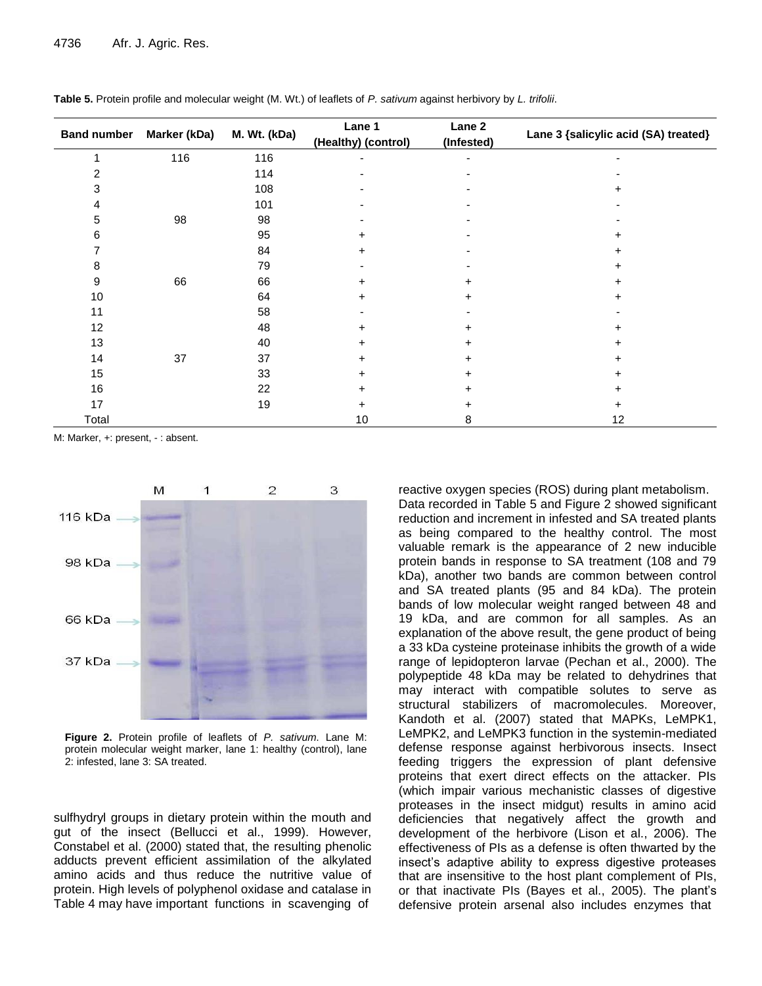|       | Band number Marker (kDa) | M. Wt. (kDa) | Lane 1<br>(Healthy) (control) | Lane 2<br>(Infested) | Lane 3 {salicylic acid (SA) treated} |
|-------|--------------------------|--------------|-------------------------------|----------------------|--------------------------------------|
| 1     | 116                      | 116          |                               |                      |                                      |
| 2     |                          | 114          |                               |                      |                                      |
| 3     |                          | 108          |                               |                      |                                      |
| 4     |                          | 101          |                               |                      |                                      |
| 5     | 98                       | 98           |                               |                      |                                      |
| 6     |                          | 95           | +                             |                      |                                      |
|       |                          | 84           |                               |                      |                                      |
| 8     |                          | 79           |                               |                      |                                      |
| 9     | 66                       | 66           | +                             |                      |                                      |
| 10    |                          | 64           | +                             | $\ddot{}$            | +                                    |
| 11    |                          | 58           |                               |                      |                                      |
| 12    |                          | 48           | +                             | ٠                    |                                      |
| 13    |                          | 40           | +                             | +                    |                                      |
| 14    | 37                       | 37           |                               |                      |                                      |
| 15    |                          | 33           |                               | +                    |                                      |
| 16    |                          | 22           | +                             | +                    |                                      |
| 17    |                          | 19           | +                             | +                    | +                                    |
| Total |                          |              | 10                            | 8                    | 12                                   |

|  |  | Table 5. Protein profile and molecular weight (M. Wt.) of leaflets of P. sativum against herbivory by L. trifolii. |  |
|--|--|--------------------------------------------------------------------------------------------------------------------|--|
|  |  |                                                                                                                    |  |

M: Marker, +: present, - : absent.



**Figure 2.** Protein profile of leaflets of *P. sativum*. Lane M: protein molecular weight marker, lane 1: healthy (control), lane 2: infested, lane 3: SA treated.

sulfhydryl groups in dietary protein within the mouth and gut of the insect (Bellucci et al., 1999). However, Constabel et al. (2000) stated that, the resulting phenolic adducts prevent efficient assimilation of the alkylated amino acids and thus reduce the nutritive value of protein. High levels of polyphenol oxidase and catalase in Table 4 may have important functions in scavenging of

reactive oxygen species (ROS) during plant metabolism. Data recorded in Table 5 and Figure 2 showed significant reduction and increment in infested and SA treated plants as being compared to the healthy control. The most valuable remark is the appearance of 2 new inducible protein bands in response to SA treatment (108 and 79 kDa), another two bands are common between control and SA treated plants (95 and 84 kDa). The protein bands of low molecular weight ranged between 48 and 19 kDa, and are common for all samples. As an explanation of the above result, the gene product of being a 33 kDa cysteine proteinase inhibits the growth of a wide range of lepidopteron larvae (Pechan et al., 2000). The polypeptide 48 kDa may be related to dehydrines that may interact with compatible solutes to serve as structural stabilizers of macromolecules. Moreover, Kandoth et al. (2007) stated that MAPKs, LeMPK1, LeMPK2, and LeMPK3 function in the systemin-mediated defense response against herbivorous insects. Insect feeding triggers the expression of plant defensive proteins that exert direct effects on the attacker. PIs (which impair various mechanistic classes of digestive proteases in the insect midgut) results in amino acid deficiencies that negatively affect the growth and development of the herbivore (Lison et al., 2006). The effectiveness of PIs as a defense is often thwarted by the insect's adaptive ability to express digestive proteases that are insensitive to the host plant complement of PIs, or that inactivate PIs (Bayes et al., 2005). The plant's defensive protein arsenal also includes enzymes that